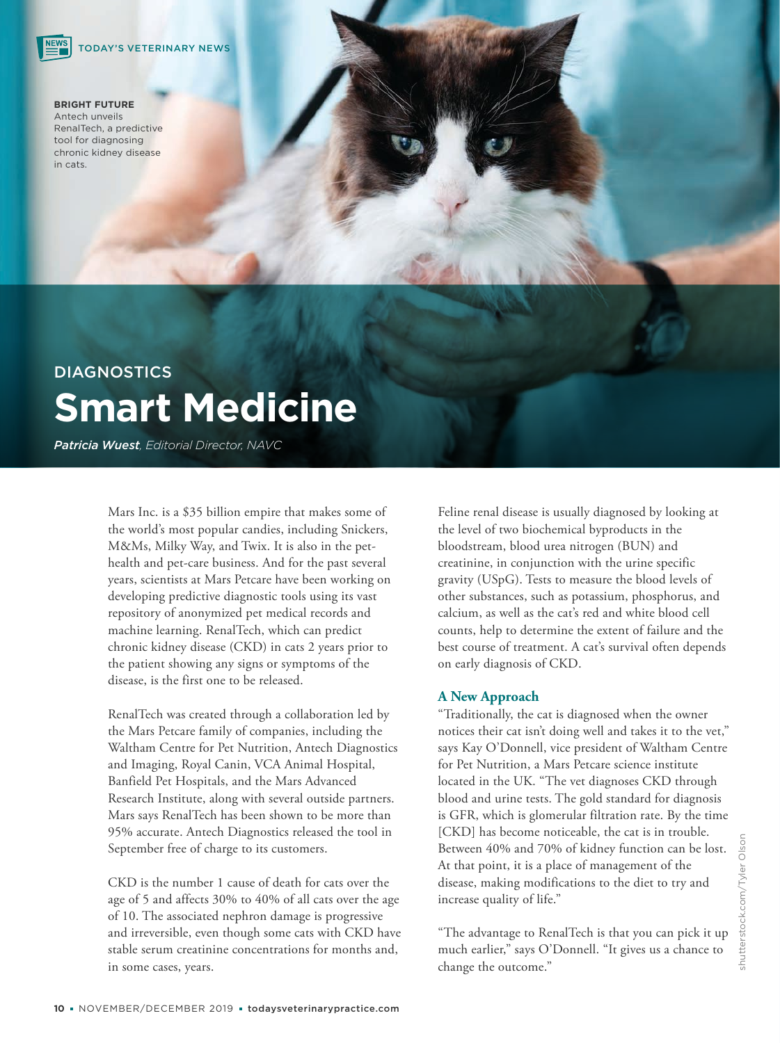#### **BRIGHT FUTURE** Antech unveils RenalTech, a predictive tool for diagnosing chronic kidney disease in cats.

# DIAGNOSTICS **Smart Medicine**

*Patricia Wuest, Editorial Director, NAVC*

Mars Inc. is a \$35 billion empire that makes some of the world's most popular candies, including Snickers, M&Ms, Milky Way, and Twix. It is also in the pethealth and pet-care business. And for the past several years, scientists at Mars Petcare have been working on developing predictive diagnostic tools using its vast repository of anonymized pet medical records and machine learning. RenalTech, which can predict chronic kidney disease (CKD) in cats 2 years prior to the patient showing any signs or symptoms of the disease, is the first one to be released.

RenalTech was created through a collaboration led by the Mars Petcare family of companies, including the Waltham Centre for Pet Nutrition, Antech Diagnostics and Imaging, Royal Canin, VCA Animal Hospital, Banfield Pet Hospitals, and the Mars Advanced Research Institute, along with several outside partners. Mars says RenalTech has been shown to be more than 95% accurate. Antech Diagnostics released the tool in September free of charge to its customers.

CKD is the number 1 cause of death for cats over the age of 5 and affects 30% to 40% of all cats over the age of 10. The associated nephron damage is progressive and irreversible, even though some cats with CKD have stable serum creatinine concentrations for months and, in some cases, years.

Feline renal disease is usually diagnosed by looking at the level of two biochemical byproducts in the bloodstream, blood urea nitrogen (BUN) and creatinine, in conjunction with the urine specific gravity (USpG). Tests to measure the blood levels of other substances, such as potassium, phosphorus, and calcium, as well as the cat's red and white blood cell counts, help to determine the extent of failure and the best course of treatment. A cat's survival often depends on early diagnosis of CKD.

## **A New Approach**

"Traditionally, the cat is diagnosed when the owner notices their cat isn't doing well and takes it to the vet," says Kay O'Donnell, vice president of Waltham Centre for Pet Nutrition, a Mars Petcare science institute located in the UK. "The vet diagnoses CKD through blood and urine tests. The gold standard for diagnosis is GFR, which is glomerular filtration rate. By the time [CKD] has become noticeable, the cat is in trouble. Between 40% and 70% of kidney function can be lost. At that point, it is a place of management of the disease, making modifications to the diet to try and increase quality of life."

"The advantage to RenalTech is that you can pick it up much earlier," says O'Donnell. "It gives us a chance to change the outcome."